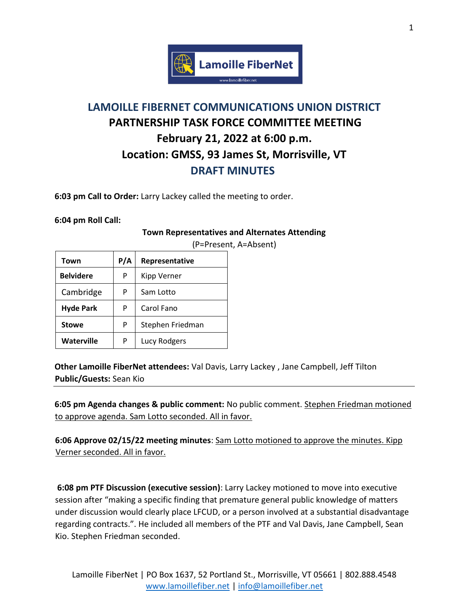

## **LAMOILLE FIBERNET COMMUNICATIONS UNION DISTRICT PARTNERSHIP TASK FORCE COMMITTEE MEETING February 21, 2022 at 6:00 p.m. Location: GMSS, 93 James St, Morrisville, VT DRAFT MINUTES**

**6:03 pm Call to Order:** Larry Lackey called the meeting to order.

**6:04 pm Roll Call:** 

## **Town Representatives and Alternates Attending**

| Town              | P/A | Representative     |
|-------------------|-----|--------------------|
| <b>Belvidere</b>  | P   | <b>Kipp Verner</b> |
| Cambridge         | P   | Sam Lotto          |
| <b>Hyde Park</b>  | P   | Carol Fano         |
| <b>Stowe</b>      | P   | Stephen Friedman   |
| <b>Waterville</b> | P   | Lucy Rodgers       |

(P=Present, A=Absent)

**Other Lamoille FiberNet attendees:** Val Davis, Larry Lackey , Jane Campbell, Jeff Tilton **Public/Guests:** Sean Kio

**6:05 pm Agenda changes & public comment:** No public comment. Stephen Friedman motioned to approve agenda. Sam Lotto seconded. All in favor.

**6:06 Approve 02/15/22 meeting minutes**: Sam Lotto motioned to approve the minutes. Kipp Verner seconded. All in favor.

**6:08 pm PTF Discussion (executive session)**: Larry Lackey motioned to move into executive session after "making a specific finding that premature general public knowledge of matters under discussion would clearly place LFCUD, or a person involved at a substantial disadvantage regarding contracts.". He included all members of the PTF and Val Davis, Jane Campbell, Sean Kio. Stephen Friedman seconded.